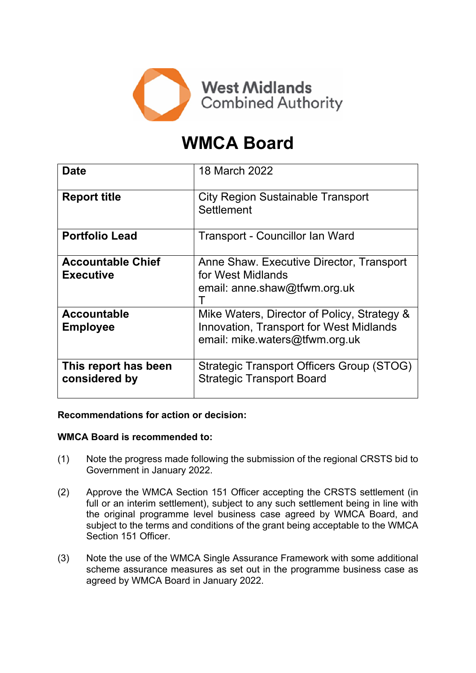

# **WMCA Board**

| <b>Date</b>                                  | 18 March 2022                                                                                                                   |
|----------------------------------------------|---------------------------------------------------------------------------------------------------------------------------------|
| <b>Report title</b>                          | <b>City Region Sustainable Transport</b><br>Settlement                                                                          |
| <b>Portfolio Lead</b>                        | Transport - Councillor Ian Ward                                                                                                 |
| <b>Accountable Chief</b><br><b>Executive</b> | Anne Shaw. Executive Director, Transport<br>for West Midlands<br>email: anne.shaw@tfwm.org.uk                                   |
| <b>Accountable</b><br><b>Employee</b>        | Mike Waters, Director of Policy, Strategy &<br><b>Innovation, Transport for West Midlands</b><br>email: mike.waters@tfwm.org.uk |
| This report has been<br>considered by        | Strategic Transport Officers Group (STOG)<br><b>Strategic Transport Board</b>                                                   |

#### **Recommendations for action or decision:**

#### **WMCA Board is recommended to:**

- (1) Note the progress made following the submission of the regional CRSTS bid to Government in January 2022.
- (2) Approve the WMCA Section 151 Officer accepting the CRSTS settlement (in full or an interim settlement), subject to any such settlement being in line with the original programme level business case agreed by WMCA Board, and subject to the terms and conditions of the grant being acceptable to the WMCA Section 151 Officer.
- (3) Note the use of the WMCA Single Assurance Framework with some additional scheme assurance measures as set out in the programme business case as agreed by WMCA Board in January 2022.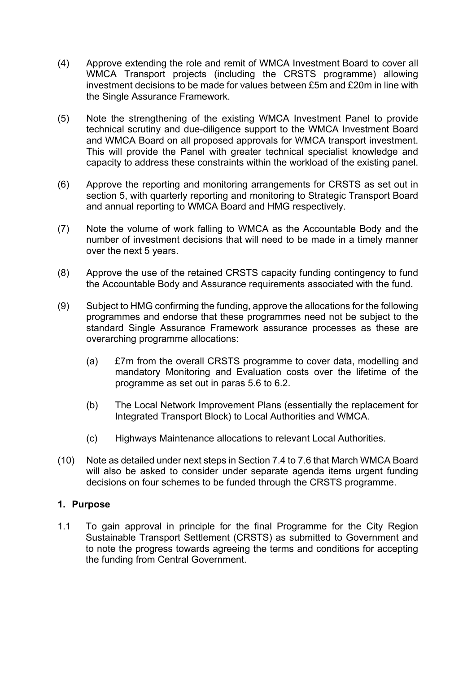- (4) Approve extending the role and remit of WMCA Investment Board to cover all WMCA Transport projects (including the CRSTS programme) allowing investment decisions to be made for values between £5m and £20m in line with the Single Assurance Framework.
- (5) Note the strengthening of the existing WMCA Investment Panel to provide technical scrutiny and due-diligence support to the WMCA Investment Board and WMCA Board on all proposed approvals for WMCA transport investment. This will provide the Panel with greater technical specialist knowledge and capacity to address these constraints within the workload of the existing panel.
- (6) Approve the reporting and monitoring arrangements for CRSTS as set out in section 5, with quarterly reporting and monitoring to Strategic Transport Board and annual reporting to WMCA Board and HMG respectively.
- (7) Note the volume of work falling to WMCA as the Accountable Body and the number of investment decisions that will need to be made in a timely manner over the next 5 years.
- (8) Approve the use of the retained CRSTS capacity funding contingency to fund the Accountable Body and Assurance requirements associated with the fund.
- (9) Subject to HMG confirming the funding, approve the allocations for the following programmes and endorse that these programmes need not be subject to the standard Single Assurance Framework assurance processes as these are overarching programme allocations:
	- (a) £7m from the overall CRSTS programme to cover data, modelling and mandatory Monitoring and Evaluation costs over the lifetime of the programme as set out in paras 5.6 to 6.2.
	- (b) The Local Network Improvement Plans (essentially the replacement for Integrated Transport Block) to Local Authorities and WMCA.
	- (c) Highways Maintenance allocations to relevant Local Authorities.
- (10) Note as detailed under next steps in Section 7.4 to 7.6 that March WMCA Board will also be asked to consider under separate agenda items urgent funding decisions on four schemes to be funded through the CRSTS programme.

#### **1. Purpose**

1.1 To gain approval in principle for the final Programme for the City Region Sustainable Transport Settlement (CRSTS) as submitted to Government and to note the progress towards agreeing the terms and conditions for accepting the funding from Central Government.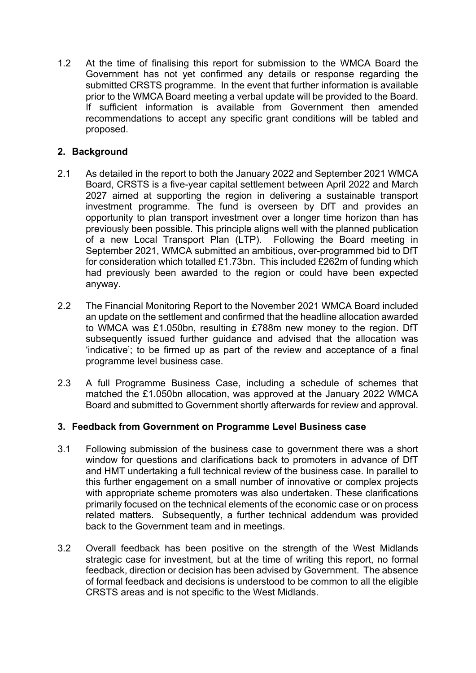1.2 At the time of finalising this report for submission to the WMCA Board the Government has not yet confirmed any details or response regarding the submitted CRSTS programme. In the event that further information is available prior to the WMCA Board meeting a verbal update will be provided to the Board. If sufficient information is available from Government then amended recommendations to accept any specific grant conditions will be tabled and proposed.

# **2. Background**

- 2.1 As detailed in the report to both the January 2022 and September 2021 WMCA Board, CRSTS is a five-year capital settlement between April 2022 and March 2027 aimed at supporting the region in delivering a sustainable transport investment programme. The fund is overseen by DfT and provides an opportunity to plan transport investment over a longer time horizon than has previously been possible. This principle aligns well with the planned publication of a new Local Transport Plan (LTP). Following the Board meeting in September 2021, WMCA submitted an ambitious, over-programmed bid to DfT for consideration which totalled £1.73bn. This included £262m of funding which had previously been awarded to the region or could have been expected anyway.
- 2.2 The Financial Monitoring Report to the November 2021 WMCA Board included an update on the settlement and confirmed that the headline allocation awarded to WMCA was £1.050bn, resulting in £788m new money to the region. DfT subsequently issued further guidance and advised that the allocation was 'indicative'; to be firmed up as part of the review and acceptance of a final programme level business case.
- 2.3 A full Programme Business Case, including a schedule of schemes that matched the £1.050bn allocation, was approved at the January 2022 WMCA Board and submitted to Government shortly afterwards for review and approval.

# **3. Feedback from Government on Programme Level Business case**

- 3.1 Following submission of the business case to government there was a short window for questions and clarifications back to promoters in advance of DfT and HMT undertaking a full technical review of the business case. In parallel to this further engagement on a small number of innovative or complex projects with appropriate scheme promoters was also undertaken. These clarifications primarily focused on the technical elements of the economic case or on process related matters. Subsequently, a further technical addendum was provided back to the Government team and in meetings.
- 3.2 Overall feedback has been positive on the strength of the West Midlands strategic case for investment, but at the time of writing this report, no formal feedback, direction or decision has been advised by Government. The absence of formal feedback and decisions is understood to be common to all the eligible CRSTS areas and is not specific to the West Midlands.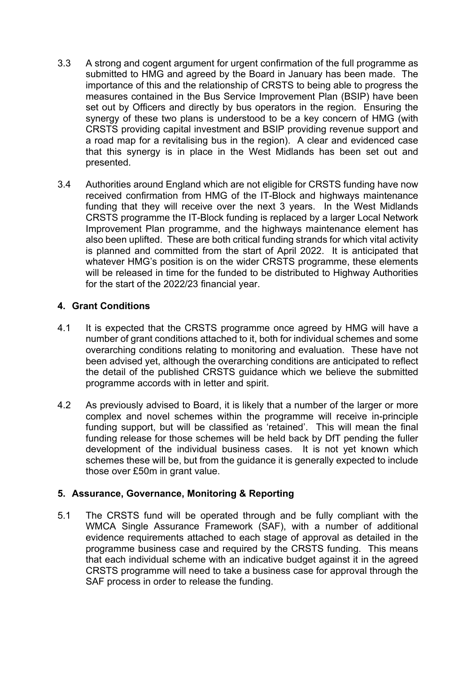- 3.3 A strong and cogent argument for urgent confirmation of the full programme as submitted to HMG and agreed by the Board in January has been made. The importance of this and the relationship of CRSTS to being able to progress the measures contained in the Bus Service Improvement Plan (BSIP) have been set out by Officers and directly by bus operators in the region. Ensuring the synergy of these two plans is understood to be a key concern of HMG (with CRSTS providing capital investment and BSIP providing revenue support and a road map for a revitalising bus in the region). A clear and evidenced case that this synergy is in place in the West Midlands has been set out and presented.
- 3.4 Authorities around England which are not eligible for CRSTS funding have now received confirmation from HMG of the IT-Block and highways maintenance funding that they will receive over the next 3 years. In the West Midlands CRSTS programme the IT-Block funding is replaced by a larger Local Network Improvement Plan programme, and the highways maintenance element has also been uplifted. These are both critical funding strands for which vital activity is planned and committed from the start of April 2022. It is anticipated that whatever HMG's position is on the wider CRSTS programme, these elements will be released in time for the funded to be distributed to Highway Authorities for the start of the 2022/23 financial year.

# **4. Grant Conditions**

- 4.1 It is expected that the CRSTS programme once agreed by HMG will have a number of grant conditions attached to it, both for individual schemes and some overarching conditions relating to monitoring and evaluation. These have not been advised yet, although the overarching conditions are anticipated to reflect the detail of the published CRSTS guidance which we believe the submitted programme accords with in letter and spirit.
- 4.2 As previously advised to Board, it is likely that a number of the larger or more complex and novel schemes within the programme will receive in-principle funding support, but will be classified as 'retained'. This will mean the final funding release for those schemes will be held back by DfT pending the fuller development of the individual business cases. It is not yet known which schemes these will be, but from the guidance it is generally expected to include those over £50m in grant value.

# **5. Assurance, Governance, Monitoring & Reporting**

5.1 The CRSTS fund will be operated through and be fully compliant with the WMCA Single Assurance Framework (SAF), with a number of additional evidence requirements attached to each stage of approval as detailed in the programme business case and required by the CRSTS funding. This means that each individual scheme with an indicative budget against it in the agreed CRSTS programme will need to take a business case for approval through the SAF process in order to release the funding.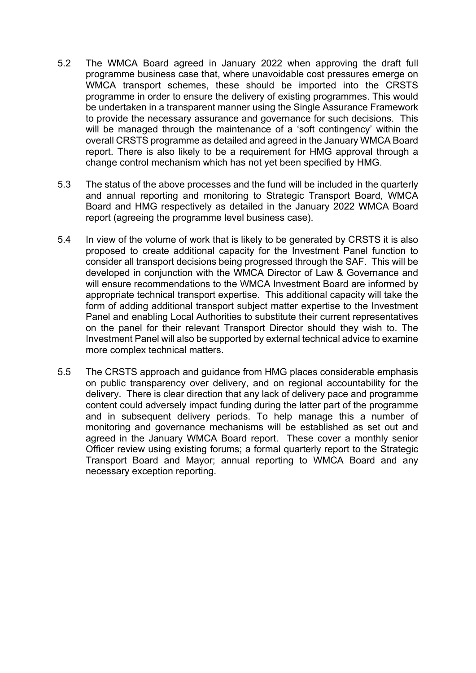- 5.2 The WMCA Board agreed in January 2022 when approving the draft full programme business case that, where unavoidable cost pressures emerge on WMCA transport schemes, these should be imported into the CRSTS programme in order to ensure the delivery of existing programmes. This would be undertaken in a transparent manner using the Single Assurance Framework to provide the necessary assurance and governance for such decisions. This will be managed through the maintenance of a 'soft contingency' within the overall CRSTS programme as detailed and agreed in the January WMCA Board report. There is also likely to be a requirement for HMG approval through a change control mechanism which has not yet been specified by HMG.
- 5.3 The status of the above processes and the fund will be included in the quarterly and annual reporting and monitoring to Strategic Transport Board, WMCA Board and HMG respectively as detailed in the January 2022 WMCA Board report (agreeing the programme level business case).
- 5.4 In view of the volume of work that is likely to be generated by CRSTS it is also proposed to create additional capacity for the Investment Panel function to consider all transport decisions being progressed through the SAF. This will be developed in conjunction with the WMCA Director of Law & Governance and will ensure recommendations to the WMCA Investment Board are informed by appropriate technical transport expertise. This additional capacity will take the form of adding additional transport subject matter expertise to the Investment Panel and enabling Local Authorities to substitute their current representatives on the panel for their relevant Transport Director should they wish to. The Investment Panel will also be supported by external technical advice to examine more complex technical matters.
- 5.5 The CRSTS approach and guidance from HMG places considerable emphasis on public transparency over delivery, and on regional accountability for the delivery. There is clear direction that any lack of delivery pace and programme content could adversely impact funding during the latter part of the programme and in subsequent delivery periods. To help manage this a number of monitoring and governance mechanisms will be established as set out and agreed in the January WMCA Board report. These cover a monthly senior Officer review using existing forums; a formal quarterly report to the Strategic Transport Board and Mayor; annual reporting to WMCA Board and any necessary exception reporting.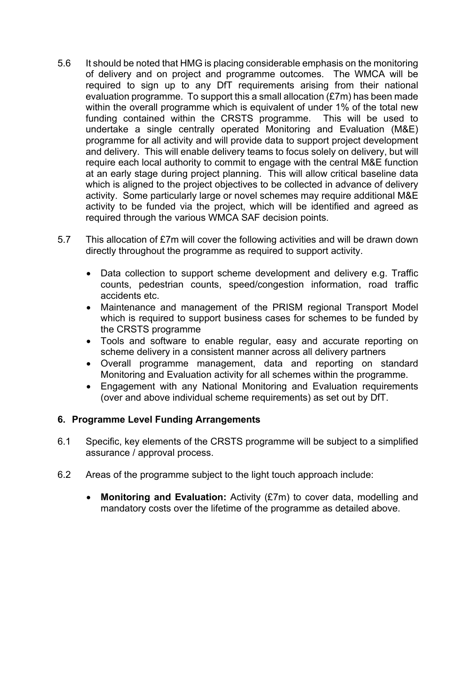- 5.6 It should be noted that HMG is placing considerable emphasis on the monitoring of delivery and on project and programme outcomes. The WMCA will be required to sign up to any DfT requirements arising from their national evaluation programme. To support this a small allocation (£7m) has been made within the overall programme which is equivalent of under 1% of the total new funding contained within the CRSTS programme. This will be used to undertake a single centrally operated Monitoring and Evaluation (M&E) programme for all activity and will provide data to support project development and delivery. This will enable delivery teams to focus solely on delivery, but will require each local authority to commit to engage with the central M&E function at an early stage during project planning. This will allow critical baseline data which is aligned to the project objectives to be collected in advance of delivery activity. Some particularly large or novel schemes may require additional M&E activity to be funded via the project, which will be identified and agreed as required through the various WMCA SAF decision points.
- 5.7 This allocation of £7m will cover the following activities and will be drawn down directly throughout the programme as required to support activity.
	- Data collection to support scheme development and delivery e.g. Traffic counts, pedestrian counts, speed/congestion information, road traffic accidents etc.
	- Maintenance and management of the PRISM regional Transport Model which is required to support business cases for schemes to be funded by the CRSTS programme
	- Tools and software to enable regular, easy and accurate reporting on scheme delivery in a consistent manner across all delivery partners
	- Overall programme management, data and reporting on standard Monitoring and Evaluation activity for all schemes within the programme.
	- Engagement with any National Monitoring and Evaluation requirements (over and above individual scheme requirements) as set out by DfT.

#### **6. Programme Level Funding Arrangements**

- 6.1 Specific, key elements of the CRSTS programme will be subject to a simplified assurance / approval process.
- 6.2 Areas of the programme subject to the light touch approach include:
	- **Monitoring and Evaluation:** Activity (£7m) to cover data, modelling and mandatory costs over the lifetime of the programme as detailed above.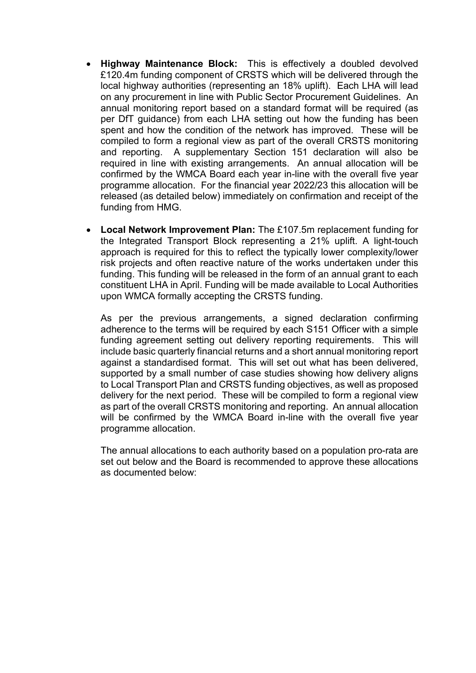- **Highway Maintenance Block:** This is effectively a doubled devolved £120.4m funding component of CRSTS which will be delivered through the local highway authorities (representing an 18% uplift). Each LHA will lead on any procurement in line with Public Sector Procurement Guidelines. An annual monitoring report based on a standard format will be required (as per DfT guidance) from each LHA setting out how the funding has been spent and how the condition of the network has improved. These will be compiled to form a regional view as part of the overall CRSTS monitoring and reporting. A supplementary Section 151 declaration will also be required in line with existing arrangements. An annual allocation will be confirmed by the WMCA Board each year in-line with the overall five year programme allocation. For the financial year 2022/23 this allocation will be released (as detailed below) immediately on confirmation and receipt of the funding from HMG.
- **Local Network Improvement Plan:** The £107.5m replacement funding for the Integrated Transport Block representing a 21% uplift. A light-touch approach is required for this to reflect the typically lower complexity/lower risk projects and often reactive nature of the works undertaken under this funding. This funding will be released in the form of an annual grant to each constituent LHA in April. Funding will be made available to Local Authorities upon WMCA formally accepting the CRSTS funding.

As per the previous arrangements, a signed declaration confirming adherence to the terms will be required by each S151 Officer with a simple funding agreement setting out delivery reporting requirements. This will include basic quarterly financial returns and a short annual monitoring report against a standardised format. This will set out what has been delivered, supported by a small number of case studies showing how delivery aligns to Local Transport Plan and CRSTS funding objectives, as well as proposed delivery for the next period. These will be compiled to form a regional view as part of the overall CRSTS monitoring and reporting. An annual allocation will be confirmed by the WMCA Board in-line with the overall five year programme allocation.

The annual allocations to each authority based on a population pro-rata are set out below and the Board is recommended to approve these allocations as documented below: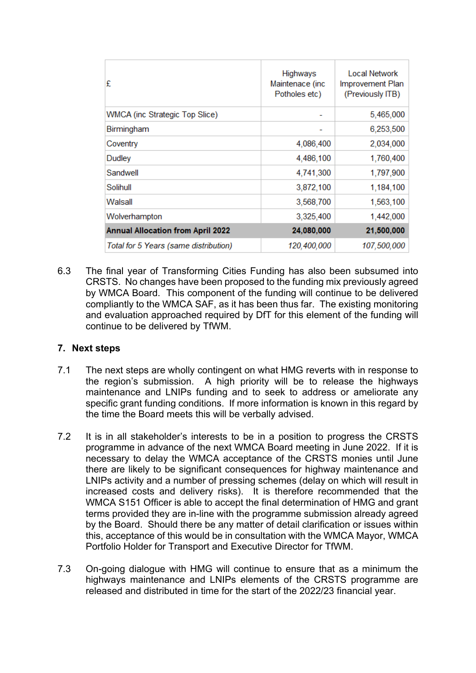| £                                        | Highways<br>Maintenace (inc<br>Potholes etc) | Local Network<br>Improvement Plan<br>(Previously ITB) |
|------------------------------------------|----------------------------------------------|-------------------------------------------------------|
| <b>WMCA</b> (inc Strategic Top Slice)    |                                              | 5,465,000                                             |
| Birmingham                               |                                              | 6,253,500                                             |
| Coventry                                 | 4,086,400                                    | 2,034,000                                             |
| Dudley                                   | 4,486,100                                    | 1,760,400                                             |
| Sandwell                                 | 4,741,300                                    | 1,797,900                                             |
| Solihull                                 | 3,872,100                                    | 1,184,100                                             |
| Walsall                                  | 3,568,700                                    | 1,563,100                                             |
| Wolverhampton                            | 3,325,400                                    | 1,442,000                                             |
| <b>Annual Allocation from April 2022</b> | 24,080,000                                   | 21,500,000                                            |
| Total for 5 Years (same distribution)    | 120,400,000                                  | 107,500,000                                           |

6.3 The final year of Transforming Cities Funding has also been subsumed into CRSTS. No changes have been proposed to the funding mix previously agreed by WMCA Board. This component of the funding will continue to be delivered compliantly to the WMCA SAF, as it has been thus far. The existing monitoring and evaluation approached required by DfT for this element of the funding will continue to be delivered by TfWM.

# **7. Next steps**

- 7.1 The next steps are wholly contingent on what HMG reverts with in response to the region's submission. A high priority will be to release the highways maintenance and LNIPs funding and to seek to address or ameliorate any specific grant funding conditions. If more information is known in this regard by the time the Board meets this will be verbally advised.
- 7.2 It is in all stakeholder's interests to be in a position to progress the CRSTS programme in advance of the next WMCA Board meeting in June 2022. If it is necessary to delay the WMCA acceptance of the CRSTS monies until June there are likely to be significant consequences for highway maintenance and LNIPs activity and a number of pressing schemes (delay on which will result in increased costs and delivery risks). It is therefore recommended that the WMCA S151 Officer is able to accept the final determination of HMG and grant terms provided they are in-line with the programme submission already agreed by the Board. Should there be any matter of detail clarification or issues within this, acceptance of this would be in consultation with the WMCA Mayor, WMCA Portfolio Holder for Transport and Executive Director for TfWM.
- 7.3 On-going dialogue with HMG will continue to ensure that as a minimum the highways maintenance and LNIPs elements of the CRSTS programme are released and distributed in time for the start of the 2022/23 financial year.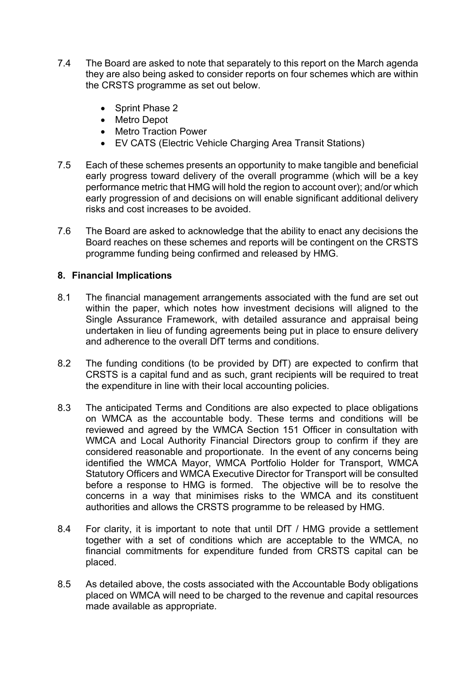- 7.4 The Board are asked to note that separately to this report on the March agenda they are also being asked to consider reports on four schemes which are within the CRSTS programme as set out below.
	- Sprint Phase 2
	- Metro Depot
	- Metro Traction Power
	- EV CATS (Electric Vehicle Charging Area Transit Stations)
- 7.5 Each of these schemes presents an opportunity to make tangible and beneficial early progress toward delivery of the overall programme (which will be a key performance metric that HMG will hold the region to account over); and/or which early progression of and decisions on will enable significant additional delivery risks and cost increases to be avoided.
- 7.6 The Board are asked to acknowledge that the ability to enact any decisions the Board reaches on these schemes and reports will be contingent on the CRSTS programme funding being confirmed and released by HMG.

#### **8. Financial Implications**

- 8.1 The financial management arrangements associated with the fund are set out within the paper, which notes how investment decisions will aligned to the Single Assurance Framework, with detailed assurance and appraisal being undertaken in lieu of funding agreements being put in place to ensure delivery and adherence to the overall DfT terms and conditions.
- 8.2 The funding conditions (to be provided by DfT) are expected to confirm that CRSTS is a capital fund and as such, grant recipients will be required to treat the expenditure in line with their local accounting policies.
- 8.3 The anticipated Terms and Conditions are also expected to place obligations on WMCA as the accountable body. These terms and conditions will be reviewed and agreed by the WMCA Section 151 Officer in consultation with WMCA and Local Authority Financial Directors group to confirm if they are considered reasonable and proportionate. In the event of any concerns being identified the WMCA Mayor, WMCA Portfolio Holder for Transport, WMCA Statutory Officers and WMCA Executive Director for Transport will be consulted before a response to HMG is formed. The objective will be to resolve the concerns in a way that minimises risks to the WMCA and its constituent authorities and allows the CRSTS programme to be released by HMG.
- 8.4 For clarity, it is important to note that until DfT / HMG provide a settlement together with a set of conditions which are acceptable to the WMCA, no financial commitments for expenditure funded from CRSTS capital can be placed.
- 8.5 As detailed above, the costs associated with the Accountable Body obligations placed on WMCA will need to be charged to the revenue and capital resources made available as appropriate.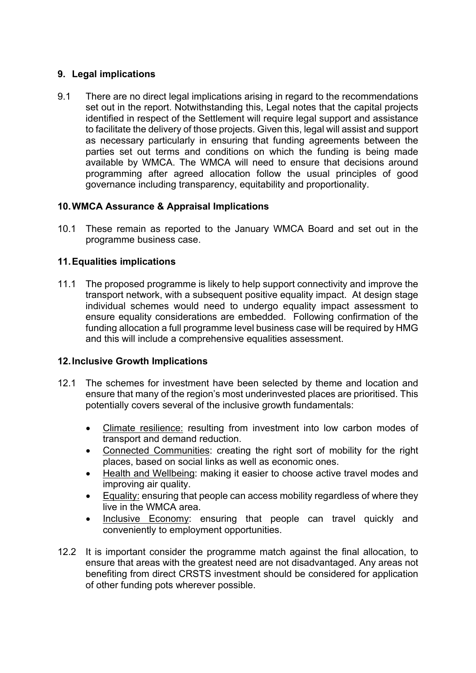# **9. Legal implications**

9.1 There are no direct legal implications arising in regard to the recommendations set out in the report. Notwithstanding this, Legal notes that the capital projects identified in respect of the Settlement will require legal support and assistance to facilitate the delivery of those projects. Given this, legal will assist and support as necessary particularly in ensuring that funding agreements between the parties set out terms and conditions on which the funding is being made available by WMCA. The WMCA will need to ensure that decisions around programming after agreed allocation follow the usual principles of good governance including transparency, equitability and proportionality.

# **10.WMCA Assurance & Appraisal Implications**

10.1 These remain as reported to the January WMCA Board and set out in the programme business case.

# **11.Equalities implications**

11.1 The proposed programme is likely to help support connectivity and improve the transport network, with a subsequent positive equality impact. At design stage individual schemes would need to undergo equality impact assessment to ensure equality considerations are embedded. Following confirmation of the funding allocation a full programme level business case will be required by HMG and this will include a comprehensive equalities assessment.

# **12.Inclusive Growth Implications**

- 12.1 The schemes for investment have been selected by theme and location and ensure that many of the region's most underinvested places are prioritised. This potentially covers several of the inclusive growth fundamentals:
	- Climate resilience: resulting from investment into low carbon modes of transport and demand reduction.
	- Connected Communities: creating the right sort of mobility for the right places, based on social links as well as economic ones.
	- Health and Wellbeing: making it easier to choose active travel modes and improving air quality.
	- Equality: ensuring that people can access mobility regardless of where they live in the WMCA area.
	- Inclusive Economy: ensuring that people can travel quickly and conveniently to employment opportunities.
- 12.2 It is important consider the programme match against the final allocation, to ensure that areas with the greatest need are not disadvantaged. Any areas not benefiting from direct CRSTS investment should be considered for application of other funding pots wherever possible.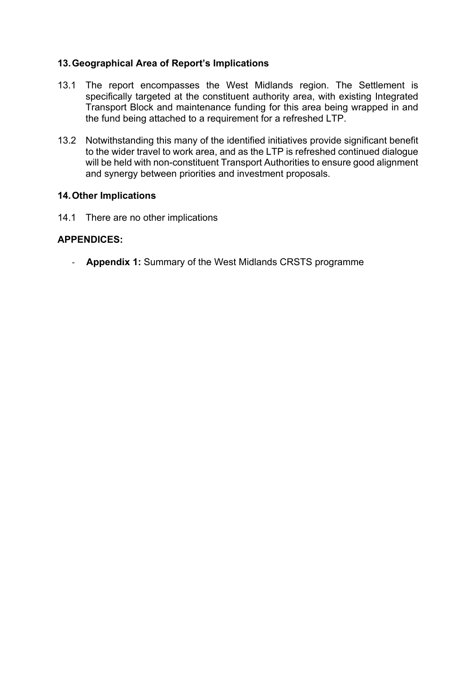#### **13.Geographical Area of Report's Implications**

- 13.1 The report encompasses the West Midlands region. The Settlement is specifically targeted at the constituent authority area, with existing Integrated Transport Block and maintenance funding for this area being wrapped in and the fund being attached to a requirement for a refreshed LTP.
- 13.2 Notwithstanding this many of the identified initiatives provide significant benefit to the wider travel to work area, and as the LTP is refreshed continued dialogue will be held with non-constituent Transport Authorities to ensure good alignment and synergy between priorities and investment proposals.

#### **14.Other Implications**

14.1 There are no other implications

#### **APPENDICES:**

- **Appendix 1:** Summary of the West Midlands CRSTS programme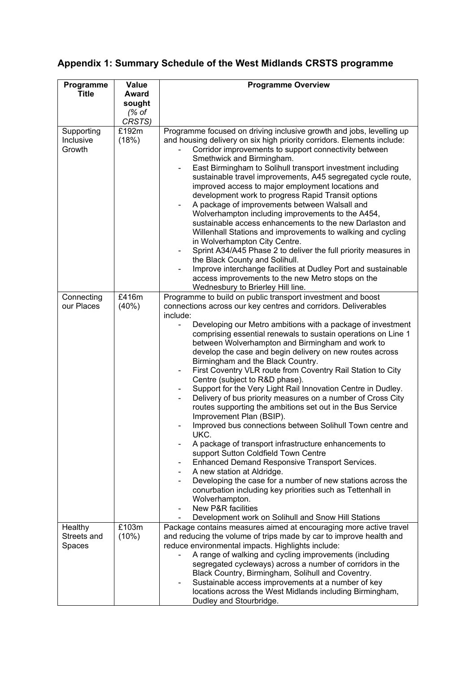# **Appendix 1: Summary Schedule of the West Midlands CRSTS programme**

| Programme                         | Value                                     | <b>Programme Overview</b>                                                                                                                                                                                                                                                                                                                                                                                                                                                                                                                                                                                                                                                                                                                                                                                                                                                                                                                                                                                                                                                                                                                                                                                                                                                                                         |
|-----------------------------------|-------------------------------------------|-------------------------------------------------------------------------------------------------------------------------------------------------------------------------------------------------------------------------------------------------------------------------------------------------------------------------------------------------------------------------------------------------------------------------------------------------------------------------------------------------------------------------------------------------------------------------------------------------------------------------------------------------------------------------------------------------------------------------------------------------------------------------------------------------------------------------------------------------------------------------------------------------------------------------------------------------------------------------------------------------------------------------------------------------------------------------------------------------------------------------------------------------------------------------------------------------------------------------------------------------------------------------------------------------------------------|
| <b>Title</b>                      | <b>Award</b><br>sought<br>(% of<br>CRSTS) |                                                                                                                                                                                                                                                                                                                                                                                                                                                                                                                                                                                                                                                                                                                                                                                                                                                                                                                                                                                                                                                                                                                                                                                                                                                                                                                   |
| Supporting<br>Inclusive<br>Growth | £192m<br>(18%)                            | Programme focused on driving inclusive growth and jobs, levelling up<br>and housing delivery on six high priority corridors. Elements include:<br>Corridor improvements to support connectivity between<br>Smethwick and Birmingham.<br>East Birmingham to Solihull transport investment including<br>sustainable travel improvements, A45 segregated cycle route,<br>improved access to major employment locations and<br>development work to progress Rapid Transit options<br>A package of improvements between Walsall and<br>Wolverhampton including improvements to the A454,<br>sustainable access enhancements to the new Darlaston and<br>Willenhall Stations and improvements to walking and cycling<br>in Wolverhampton City Centre.<br>Sprint A34/A45 Phase 2 to deliver the full priority measures in<br>the Black County and Solihull.<br>Improve interchange facilities at Dudley Port and sustainable<br>access improvements to the new Metro stops on the<br>Wednesbury to Brierley Hill line.                                                                                                                                                                                                                                                                                                   |
| Connecting<br>our Places          | £416m<br>(40%)                            | Programme to build on public transport investment and boost<br>connections across our key centres and corridors. Deliverables<br>include:<br>Developing our Metro ambitions with a package of investment<br>comprising essential renewals to sustain operations on Line 1<br>between Wolverhampton and Birmingham and work to<br>develop the case and begin delivery on new routes across<br>Birmingham and the Black Country.<br>First Coventry VLR route from Coventry Rail Station to City<br>$\qquad \qquad \blacksquare$<br>Centre (subject to R&D phase).<br>Support for the Very Light Rail Innovation Centre in Dudley.<br>$\overline{\phantom{a}}$<br>Delivery of bus priority measures on a number of Cross City<br>routes supporting the ambitions set out in the Bus Service<br>Improvement Plan (BSIP).<br>Improved bus connections between Solihull Town centre and<br>UKC.<br>A package of transport infrastructure enhancements to<br>support Sutton Coldfield Town Centre<br>Enhanced Demand Responsive Transport Services.<br>A new station at Aldridge.<br>Developing the case for a number of new stations across the<br>conurbation including key priorities such as Tettenhall in<br>Wolverhampton.<br><b>New P&amp;R facilities</b><br>Development work on Solihull and Snow Hill Stations |
| Healthy<br>Streets and<br>Spaces  | £103m<br>(10%)                            | Package contains measures aimed at encouraging more active travel<br>and reducing the volume of trips made by car to improve health and<br>reduce environmental impacts. Highlights include:<br>A range of walking and cycling improvements (including<br>segregated cycleways) across a number of corridors in the<br>Black Country, Birmingham, Solihull and Coventry.<br>Sustainable access improvements at a number of key<br>locations across the West Midlands including Birmingham,<br>Dudley and Stourbridge.                                                                                                                                                                                                                                                                                                                                                                                                                                                                                                                                                                                                                                                                                                                                                                                             |